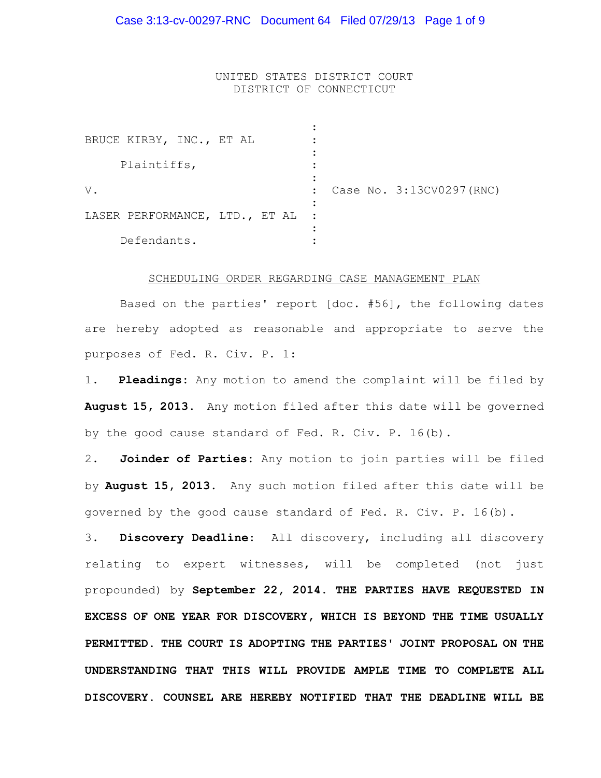UNITED STATES DISTRICT COURT DISTRICT OF CONNECTICUT

| BRUCE KIRBY, INC., ET AL       |                          |
|--------------------------------|--------------------------|
| Plaintiffs,                    |                          |
| $V$ .                          | Case No. 3:13CV0297(RNC) |
| LASER PERFORMANCE, LTD., ET AL |                          |
| Defendants.                    |                          |

#### SCHEDULING ORDER REGARDING CASE MANAGEMENT PLAN

Based on the parties' report [doc. #56], the following dates are hereby adopted as reasonable and appropriate to serve the purposes of Fed. R. Civ. P. 1:

1. **Pleadings:** Any motion to amend the complaint will be filed by **August 15, 2013**. Any motion filed after this date will be governed by the good cause standard of Fed. R. Civ. P. 16(b).

2. **Joinder of Parties:** Any motion to join parties will be filed by **August 15, 2013.** Any such motion filed after this date will be governed by the good cause standard of Fed. R. Civ. P. 16(b).

3. **Discovery Deadline**: All discovery, including all discovery relating to expert witnesses, will be completed (not just propounded) by **September 22, 2014. THE PARTIES HAVE REQUESTED IN EXCESS OF ONE YEAR FOR DISCOVERY, WHICH IS BEYOND THE TIME USUALLY PERMITTED. THE COURT IS ADOPTING THE PARTIES' JOINT PROPOSAL ON THE UNDERSTANDING THAT THIS WILL PROVIDE AMPLE TIME TO COMPLETE ALL DISCOVERY. COUNSEL ARE HEREBY NOTIFIED THAT THE DEADLINE WILL BE**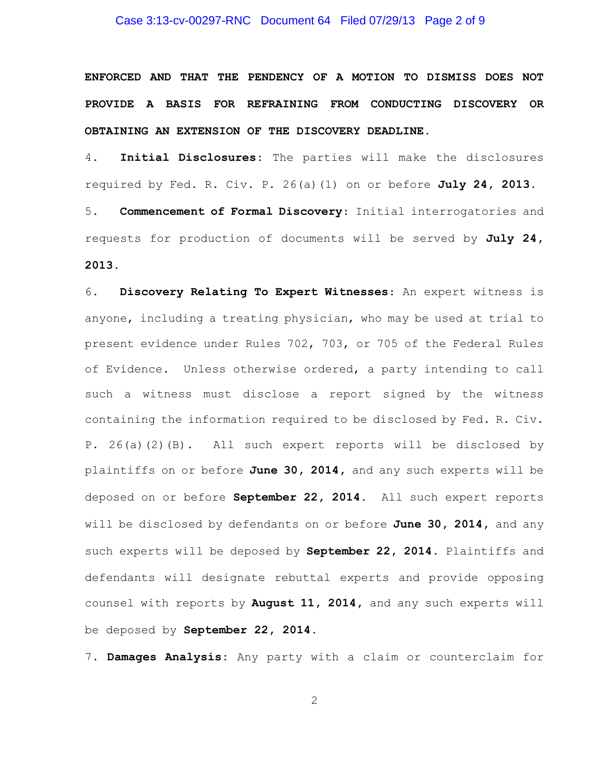### Case 3:13-cv-00297-RNC Document 64 Filed 07/29/13 Page 2 of 9

**ENFORCED AND THAT THE PENDENCY OF A MOTION TO DISMISS DOES NOT PROVIDE A BASIS FOR REFRAINING FROM CONDUCTING DISCOVERY OR OBTAINING AN EXTENSION OF THE DISCOVERY DEADLINE.**

4. **Initial Disclosures**: The parties will make the disclosures required by Fed. R. Civ. P. 26(a)(1) on or before **July 24, 2013.** 5. **Commencement of Formal Discovery**: Initial interrogatories and requests for production of documents will be served by **July 24, 2013.**

6. **Discovery Relating To Expert Witnesses**: An expert witness is anyone, including a treating physician, who may be used at trial to present evidence under Rules 702, 703, or 705 of the Federal Rules of Evidence. Unless otherwise ordered, a party intending to call such a witness must disclose a report signed by the witness containing the information required to be disclosed by Fed. R. Civ. P. 26(a)(2)(B). All such expert reports will be disclosed by plaintiffs on or before **June 30, 2014,** and any such experts will be deposed on or before **September 22, 2014.** All such expert reports will be disclosed by defendants on or before **June 30, 2014,** and any such experts will be deposed by **September 22, 2014.** Plaintiffs and defendants will designate rebuttal experts and provide opposing counsel with reports by **August 11, 2014,** and any such experts will be deposed by **September 22, 2014.**

7. **Damages Analysis:** Any party with a claim or counterclaim for

2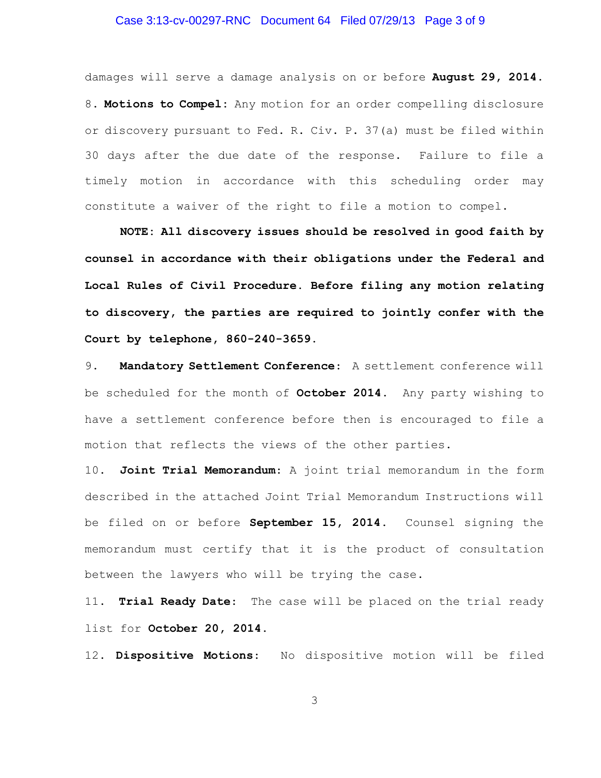### Case 3:13-cv-00297-RNC Document 64 Filed 07/29/13 Page 3 of 9

damages will serve a damage analysis on or before **August 29, 2014.** 8. **Motions to Compel:** Any motion for an order compelling disclosure or discovery pursuant to Fed. R. Civ. P. 37(a) must be filed within 30 days after the due date of the response. Failure to file a timely motion in accordance with this scheduling order may constitute a waiver of the right to file a motion to compel.

**NOTE: All discovery issues should be resolved in good faith by counsel in accordance with their obligations under the Federal and Local Rules of Civil Procedure. Before filing any motion relating to discovery, the parties are required to jointly confer with the Court by telephone, 860-240-3659.**

9. **Mandatory Settlement Conference**: A settlement conference will be scheduled for the month of **October 2014.** Any party wishing to have a settlement conference before then is encouraged to file a motion that reflects the views of the other parties.

10. **Joint Trial Memorandum**: A joint trial memorandum in the form described in the attached Joint Trial Memorandum Instructions will be filed on or before **September 15, 2014.** Counsel signing the memorandum must certify that it is the product of consultation between the lawyers who will be trying the case**.**

11. **Trial Ready Date**: The case will be placed on the trial ready list for **October 20, 2014.**

12. **Dispositive Motions**: No dispositive motion will be filed

3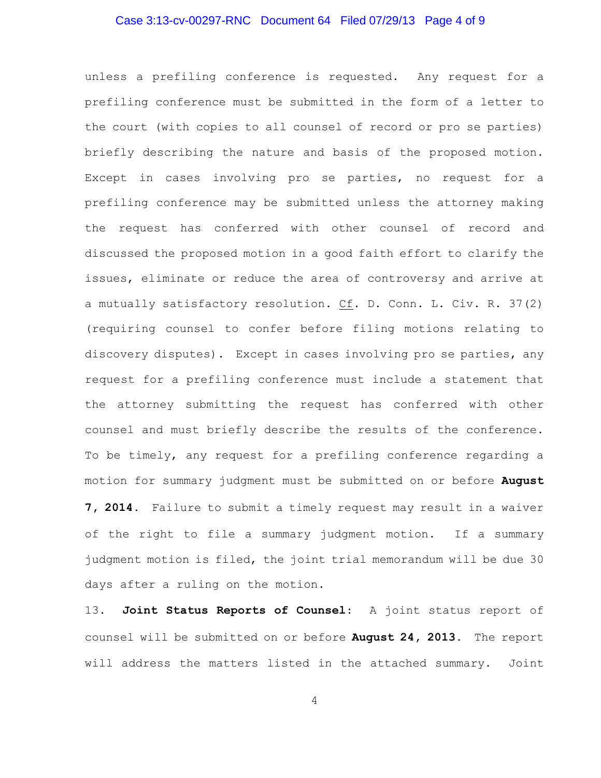## Case 3:13-cv-00297-RNC Document 64 Filed 07/29/13 Page 4 of 9

unless a prefiling conference is requested. Any request for a prefiling conference must be submitted in the form of a letter to the court (with copies to all counsel of record or pro se parties) briefly describing the nature and basis of the proposed motion. Except in cases involving pro se parties, no request for a prefiling conference may be submitted unless the attorney making the request has conferred with other counsel of record and discussed the proposed motion in a good faith effort to clarify the issues, eliminate or reduce the area of controversy and arrive at a mutually satisfactory resolution. Cf. D. Conn. L. Civ. R. 37(2) (requiring counsel to confer before filing motions relating to discovery disputes). Except in cases involving pro se parties, any request for a prefiling conference must include a statement that the attorney submitting the request has conferred with other counsel and must briefly describe the results of the conference. To be timely, any request for a prefiling conference regarding a motion for summary judgment must be submitted on or before **August 7, 2014.** Failure to submit a timely request may result in a waiver of the right to file a summary judgment motion. If a summary judgment motion is filed, the joint trial memorandum will be due 30

13. **Joint Status Reports of Counsel**: A joint status report of counsel will be submitted on or before **August 24, 2013.** The report will address the matters listed in the attached summary. Joint

days after a ruling on the motion.

4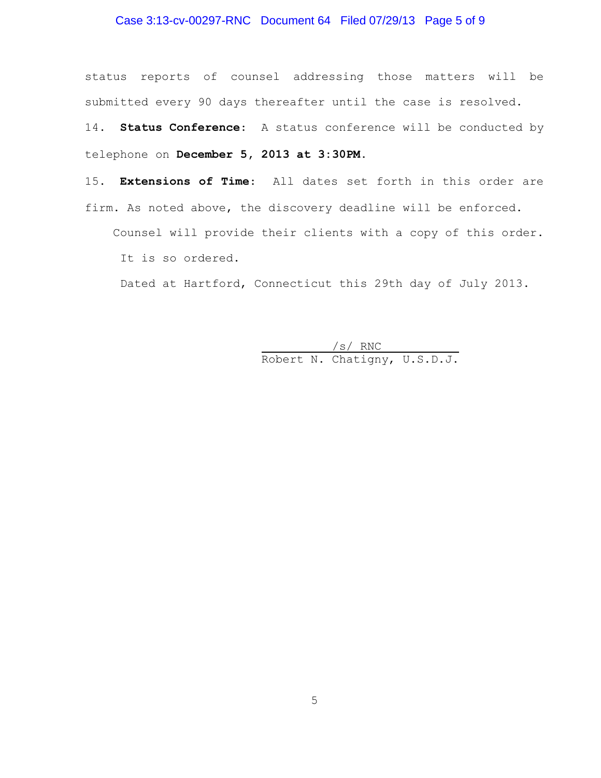## Case 3:13-cv-00297-RNC Document 64 Filed 07/29/13 Page 5 of 9

status reports of counsel addressing those matters will be submitted every 90 days thereafter until the case is resolved.

14. **Status Conference**: A status conference will be conducted by telephone on **December 5, 2013 at 3:30PM.** 

15. **Extensions of Time**: All dates set forth in this order are firm. As noted above, the discovery deadline will be enforced.

 Counsel will provide their clients with a copy of this order. It is so ordered.

Dated at Hartford, Connecticut this 29th day of July 2013.

 /s/ RNC Robert N. Chatigny, U.S.D.J.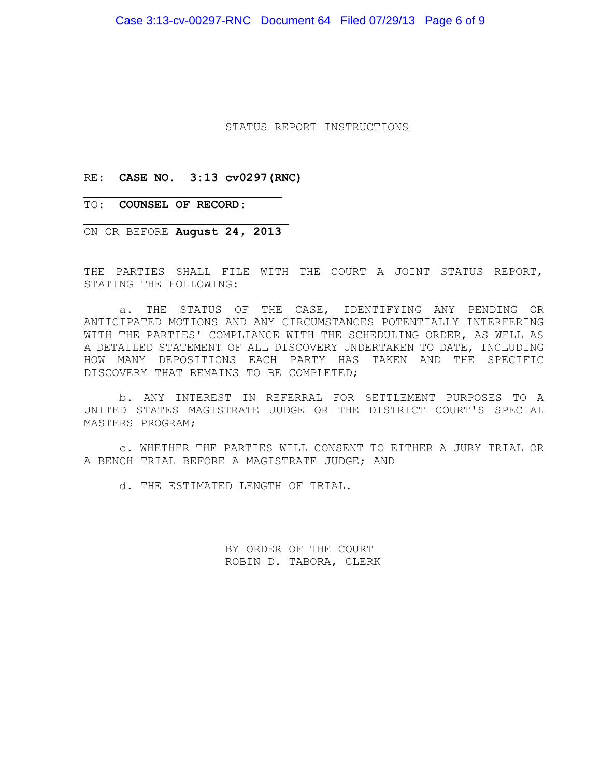Case 3:13-cv-00297-RNC Document 64 Filed 07/29/13 Page 6 of 9

STATUS REPORT INSTRUCTIONS

### RE: **CASE NO. 3:13 cv0297(RNC)**

TO: **COUNSEL OF RECORD:**

**\_\_\_\_\_\_\_\_\_\_\_\_\_\_\_\_\_\_\_\_\_\_\_\_\_\_\_\_\_** ON OR BEFORE **August 24, 2013**

**\_\_\_\_\_\_\_\_\_\_\_\_\_\_\_\_\_\_\_\_\_\_\_\_\_\_\_\_**

THE PARTIES SHALL FILE WITH THE COURT A JOINT STATUS REPORT, STATING THE FOLLOWING:

a. THE STATUS OF THE CASE, IDENTIFYING ANY PENDING OR ANTICIPATED MOTIONS AND ANY CIRCUMSTANCES POTENTIALLY INTERFERING WITH THE PARTIES' COMPLIANCE WITH THE SCHEDULING ORDER, AS WELL AS A DETAILED STATEMENT OF ALL DISCOVERY UNDERTAKEN TO DATE, INCLUDING HOW MANY DEPOSITIONS EACH PARTY HAS TAKEN AND THE SPECIFIC DISCOVERY THAT REMAINS TO BE COMPLETED;

b. ANY INTEREST IN REFERRAL FOR SETTLEMENT PURPOSES TO A UNITED STATES MAGISTRATE JUDGE OR THE DISTRICT COURT'S SPECIAL MASTERS PROGRAM;

c. WHETHER THE PARTIES WILL CONSENT TO EITHER A JURY TRIAL OR A BENCH TRIAL BEFORE A MAGISTRATE JUDGE; AND

d. THE ESTIMATED LENGTH OF TRIAL.

BY ORDER OF THE COURT ROBIN D. TABORA, CLERK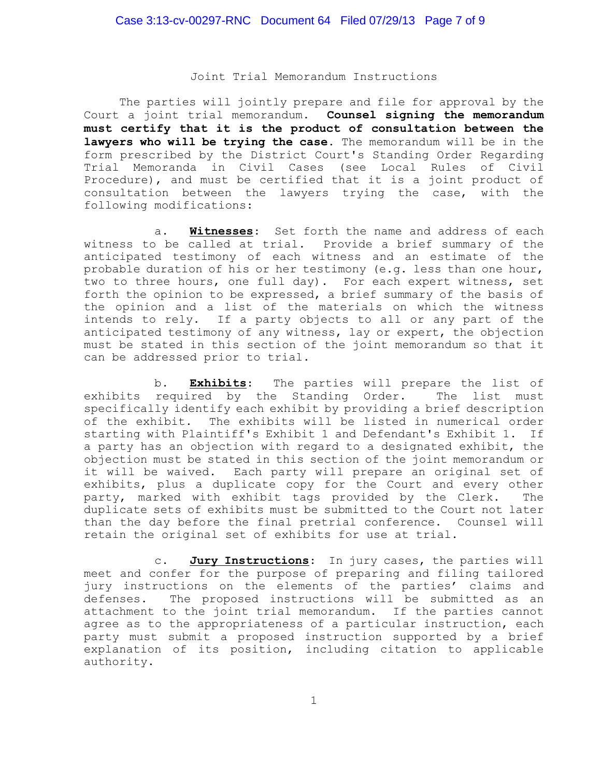#### Joint Trial Memorandum Instructions

The parties will jointly prepare and file for approval by the Court a joint trial memorandum**. Counsel signing the memorandum must certify that it is the product of consultation between the lawyers who will be trying the case.** The memorandum will be in the form prescribed by the District Court's Standing Order Regarding Trial Memoranda in Civil Cases (see Local Rules of Civil Procedure), and must be certified that it is a joint product of consultation between the lawyers trying the case, with the following modifications:

a. **Witnesses**: Set forth the name and address of each witness to be called at trial. Provide a brief summary of the anticipated testimony of each witness and an estimate of the probable duration of his or her testimony (e.g. less than one hour, two to three hours, one full day). For each expert witness, set forth the opinion to be expressed, a brief summary of the basis of the opinion and a list of the materials on which the witness intends to rely. If a party objects to all or any part of the anticipated testimony of any witness, lay or expert, the objection must be stated in this section of the joint memorandum so that it can be addressed prior to trial.

b. **Exhibits**: The parties will prepare the list of exhibits required by the Standing Order. The list must specifically identify each exhibit by providing a brief description of the exhibit. The exhibits will be listed in numerical order starting with Plaintiff's Exhibit 1 and Defendant's Exhibit 1. If a party has an objection with regard to a designated exhibit, the objection must be stated in this section of the joint memorandum or it will be waived. Each party will prepare an original set of exhibits, plus a duplicate copy for the Court and every other party, marked with exhibit tags provided by the Clerk. The duplicate sets of exhibits must be submitted to the Court not later than the day before the final pretrial conference. Counsel will retain the original set of exhibits for use at trial.

c. **Jury Instructions**: In jury cases, the parties will meet and confer for the purpose of preparing and filing tailored jury instructions on the elements of the parties' claims and defenses. The proposed instructions will be submitted as an attachment to the joint trial memorandum. If the parties cannot agree as to the appropriateness of a particular instruction, each party must submit a proposed instruction supported by a brief explanation of its position, including citation to applicable authority.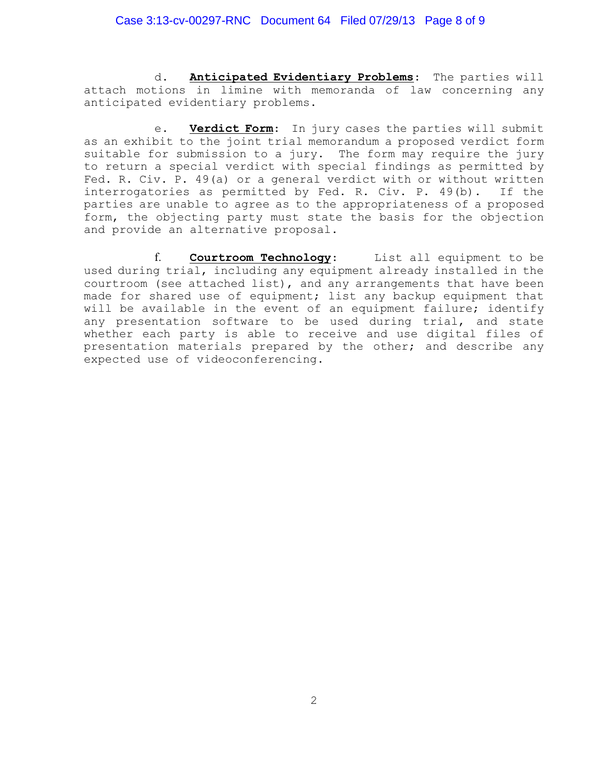### Case 3:13-cv-00297-RNC Document 64 Filed 07/29/13 Page 8 of 9

d. **Anticipated Evidentiary Problems**: The parties will attach motions in limine with memoranda of law concerning any anticipated evidentiary problems.

e. **Verdict Form**: In jury cases the parties will submit as an exhibit to the joint trial memorandum a proposed verdict form suitable for submission to a jury. The form may require the jury to return a special verdict with special findings as permitted by Fed. R. Civ. P. 49(a) or a general verdict with or without written interrogatories as permitted by Fed. R. Civ. P. 49(b). If the parties are unable to agree as to the appropriateness of a proposed form, the objecting party must state the basis for the objection and provide an alternative proposal.

f. **Courtroom Technology**: List all equipment to be used during trial, including any equipment already installed in the courtroom (see attached list), and any arrangements that have been made for shared use of equipment; list any backup equipment that will be available in the event of an equipment failure; identify any presentation software to be used during trial, and state whether each party is able to receive and use digital files of presentation materials prepared by the other; and describe any expected use of videoconferencing.